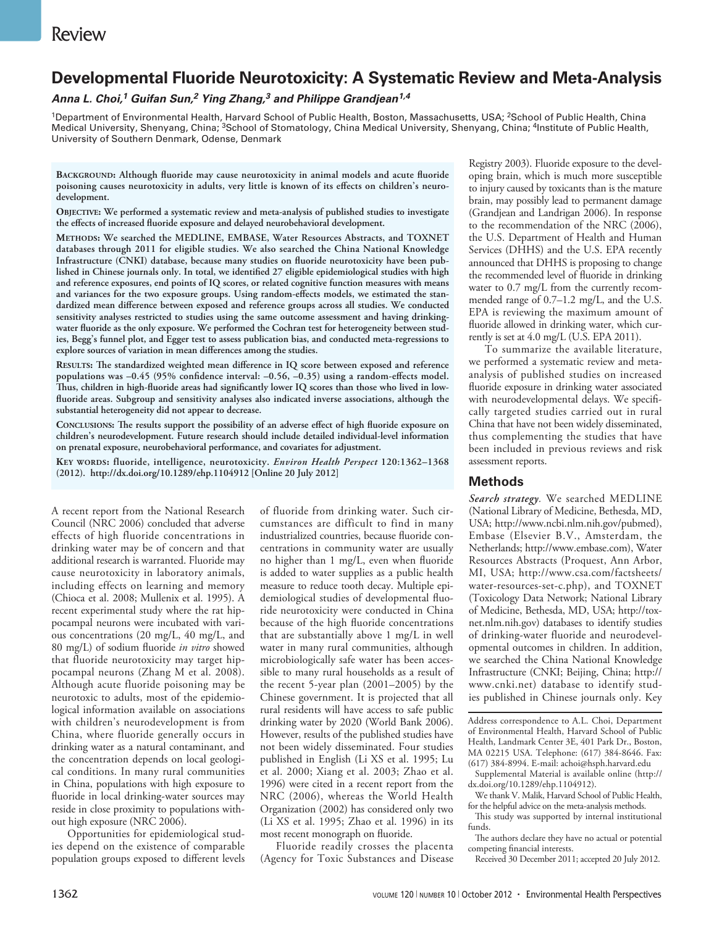# **Developmental Fluoride Neurotoxicity: A Systematic Review and Meta-Analysis**

*Anna L. Choi,1 Guifan Sun,2 Ying Zhang,3 and Philippe Grandjean1,4*

<sup>1</sup>Department of Environmental Health, Harvard School of Public Health, Boston, Massachusetts, USA; <sup>2</sup>School of Public Health, China Medical University, Shenyang, China; <sup>3</sup>School of Stomatology, China Medical University, Shenyang, China; <sup>4</sup>Institute of Public Health, University of Southern Denmark, Odense, Denmark

**Background: Although fluoride may cause neurotoxicity in animal models and acute fluoride poisoning causes neurotoxicity in adults, very little is known of its effects on children's neurodevelopment.**

**Objective: We performed a systematic review and meta-analysis of published studies to investigate the effects of increased fluoride exposure and delayed neurobehavioral development.**

**Methods: We searched the MEDLINE, EMBASE, Water Resources Abstracts, and TOXNET databases through 2011 for eligible studies. We also searched the China National Knowledge Infrastructure (CNKI) database, because many studies on fluoride neurotoxicity have been published in Chinese journals only. In total, we identified 27 eligible epidemiological studies with high and reference exposures, end points of IQ scores, or related cognitive function measures with means and variances for the two exposure groups. Using random-effects models, we estimated the standardized mean difference between exposed and reference groups across all studies. We conducted sensitivity analyses restricted to studies using the same outcome assessment and having drinkingwater fluoride as the only exposure. We performed the Cochran test for heterogeneity between studies, Begg's funnel plot, and Egger test to assess publication bias, and conducted meta-regressions to explore sources of variation in mean differences among the studies.** 

**Results: The standardized weighted mean difference in IQ score between exposed and reference populations was –0.45 (95% confidence interval: –0.56, –0.35) using a random-effects model. Thus, children in high-fluoride areas had significantly lower IQ scores than those who lived in lowfluoride areas. Subgroup and sensitivity analyses also indicated inverse associations, although the substantial heterogeneity did not appear to decrease.**

**Conclusions: The results support the possibility of an adverse effect of high fluoride exposure on children's neurodevelopment. Future research should include detailed individual-level information on prenatal exposure, neurobehavioral performance, and covariates for adjustment.**

**Key words: fluoride, intelligence, neurotoxicity.** *Environ Health Perspect* **120:1362–1368 (2012). http://dx.doi.org/10.1289/ehp.1104912 [Online 20 July 2012]**

A recent report from the National Research Council (NRC 2006) concluded that adverse effects of high fluoride concentrations in drinking water may be of concern and that additional research is warranted. Fluoride may cause neurotoxicity in laboratory animals, including effects on learning and memory (Chioca et al. 2008; Mullenix et al. 1995). A recent experimental study where the rat hippocampal neurons were incubated with various concentrations (20 mg/L, 40 mg/L, and 80 mg/L) of sodium fluoride *in vitro* showed that fluoride neurotoxicity may target hippocampal neurons (Zhang M et al. 2008). Although acute fluoride poisoning may be neurotoxic to adults, most of the epidemiological information available on associations with children's neurodevelopment is from China, where fluoride generally occurs in drinking water as a natural contaminant, and the concentration depends on local geological conditions. In many rural communities in China, populations with high exposure to fluoride in local drinking-water sources may reside in close proximity to populations without high exposure (NRC 2006).

Opportunities for epidemiological studies depend on the existence of comparable population groups exposed to different levels

of fluoride from drinking water. Such circumstances are difficult to find in many industrialized countries, because fluoride concentrations in community water are usually no higher than 1 mg/L, even when fluoride is added to water supplies as a public health measure to reduce tooth decay. Multiple epidemiological studies of developmental fluoride neurotoxicity were conducted in China because of the high fluoride concentrations that are substantially above 1 mg/L in well water in many rural communities, although microbiologically safe water has been accessible to many rural households as a result of the recent 5-year plan (2001–2005) by the Chinese government. It is projected that all rural residents will have access to safe public drinking water by 2020 (World Bank 2006). However, results of the published studies have not been widely disseminated. Four studies published in English (Li XS et al. 1995; Lu et al. 2000; Xiang et al. 2003; Zhao et al. 1996) were cited in a recent report from the NRC (2006), whereas the World Health Organization (2002) has considered only two (Li XS et al. 1995; Zhao et al. 1996) in its most recent monograph on fluoride.

Fluoride readily crosses the placenta (Agency for Toxic Substances and Disease

Registry 2003). Fluoride exposure to the developing brain, which is much more susceptible to injury caused by toxicants than is the mature brain, may possibly lead to permanent damage (Grandjean and Landrigan 2006). In response to the recommendation of the NRC (2006), the U.S. Department of Health and Human Services (DHHS) and the U.S. EPA recently announced that DHHS is proposing to change the recommended level of fluoride in drinking water to 0.7 mg/L from the currently recommended range of 0.7–1.2 mg/L, and the U.S. EPA is reviewing the maximum amount of fluoride allowed in drinking water, which currently is set at 4.0 mg/L (U.S. EPA 2011).

To summarize the available literature, we performed a systematic review and metaanalysis of published studies on increased fluoride exposure in drinking water associated with neurodevelopmental delays. We specifically targeted studies carried out in rural China that have not been widely disseminated, thus complementing the studies that have been included in previous reviews and risk assessment reports.

## **Methods**

*Search strategy.* We searched MEDLINE (National Library of Medicine, Bethesda, MD, USA; http://www.ncbi.nlm.nih.gov/pubmed), Embase (Elsevier B.V., Amsterdam, the Netherlands; http://www.embase.com), Water Resources Abstracts (Proquest, Ann Arbor, MI, USA; http://www.csa.com/factsheets/ water-resources-set-c.php), and TOXNET (Toxicology Data Network; National Library of Medicine, Bethesda, MD, USA; http://toxnet.nlm.nih.gov) databases to identify studies of drinking-water fluoride and neurodevelopmental outcomes in children. In addition, we searched the China National Knowledge Infrastructure (CNKI; Beijing, China; http:// www.cnki.net) database to identify studies published in Chinese journals only. Key

Address correspondence to A.L. Choi, Department of Environmental Health, Harvard School of Public Health, Landmark Center 3E, 401 Park Dr., Boston, MA 02215 USA. Telephone: (617) 384-8646. Fax: (617) 384-8994. E-mail: achoi@hsph.harvard.edu

Supplemental Material is available online (http:// dx.doi.org/10.1289/ehp.1104912).

We thank V. Malik, Harvard School of Public Health, for the helpful advice on the meta-analysis methods.

This study was supported by internal institutional funds.

The authors declare they have no actual or potential competing financial interests.

Received 30 December 2011; accepted 20 July 2012.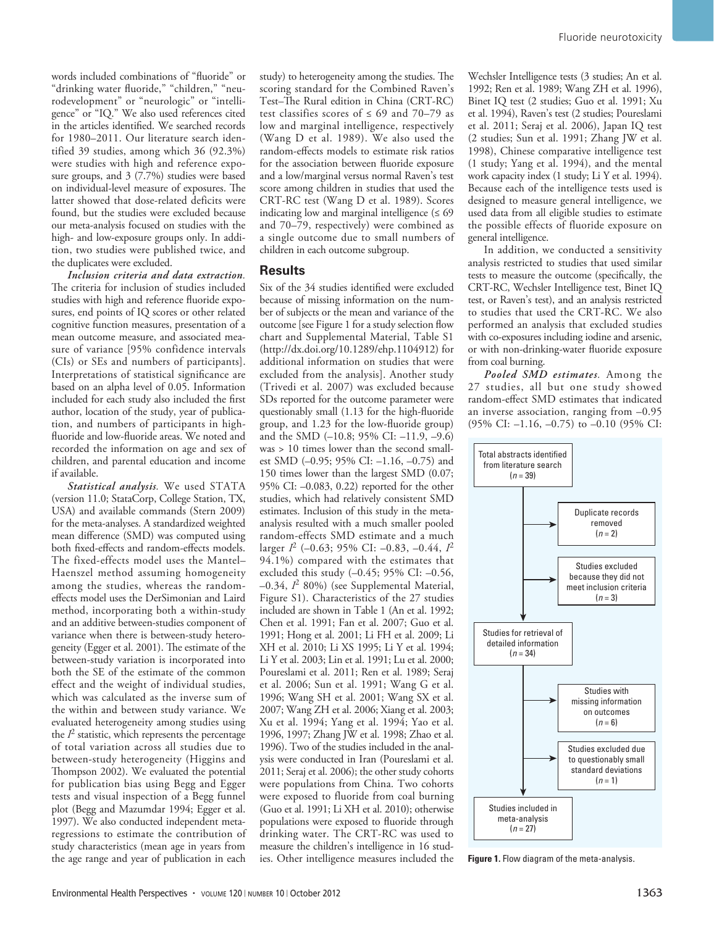words included combinations of "fluoride" or "drinking water fluoride," "children," "neurodevelopment" or "neurologic" or "intelligence" or "IQ." We also used references cited in the articles identified. We searched records for 1980–2011. Our literature search identified 39 studies, among which 36 (92.3%) were studies with high and reference exposure groups, and 3 (7.7%) studies were based on individual-level measure of exposures. The latter showed that dose-related deficits were found, but the studies were excluded because our meta-analysis focused on studies with the high- and low-exposure groups only. In addition, two studies were published twice, and the duplicates were excluded.

*Inclusion criteria and data extraction.*  The criteria for inclusion of studies included studies with high and reference fluoride exposures, end points of IQ scores or other related cognitive function measures, presentation of a mean outcome measure, and associated measure of variance [95% confidence intervals (CIs) or SEs and numbers of participants]. Interpretations of statistical significance are based on an alpha level of 0.05. Information included for each study also included the first author, location of the study, year of publication, and numbers of participants in highfluoride and low-fluoride areas. We noted and recorded the information on age and sex of children, and parental education and income if available.

*Statistical analysis.* We used STATA (version 11.0; StataCorp, College Station, TX, USA) and available commands (Stern 2009) for the meta-analyses. A standardized weighted mean difference (SMD) was computed using both fixed-effects and random-effects models. The fixed-effects model uses the Mantel– Haenszel method assuming homogeneity among the studies, whereas the randomeffects model uses the DerSimonian and Laird method, incorporating both a within-study and an additive between-studies component of variance when there is between-study heterogeneity (Egger et al. 2001). The estimate of the between-study variation is incorporated into both the SE of the estimate of the common effect and the weight of individual studies, which was calculated as the inverse sum of the within and between study variance. We evaluated heterogeneity among studies using the  $I<sup>2</sup>$  statistic, which represents the percentage of total variation across all studies due to between-study heterogeneity (Higgins and Thompson 2002). We evaluated the potential for publication bias using Begg and Egger tests and visual inspection of a Begg funnel plot (Begg and Mazumdar 1994; Egger et al. 1997). We also conducted independent metaregressions to estimate the contribution of study characteristics (mean age in years from the age range and year of publication in each

study) to heterogeneity among the studies. The scoring standard for the Combined Raven's Test–The Rural edition in China (CRT-RC) test classifies scores of  $\leq 69$  and  $70-79$  as low and marginal intelligence, respectively (Wang D et al. 1989). We also used the random-effects models to estimate risk ratios for the association between fluoride exposure and a low/marginal versus normal Raven's test score among children in studies that used the CRT-RC test (Wang D et al. 1989). Scores indicating low and marginal intelligence  $(≤ 69)$ and 70–79, respectively) were combined as a single outcome due to small numbers of children in each outcome subgroup.

### **Results**

Six of the 34 studies identified were excluded because of missing information on the number of subjects or the mean and variance of the outcome [see Figure 1 for a study selection flow chart and Supplemental Material, Table S1 (http://dx.doi.org/10.1289/ehp.1104912) for additional information on studies that were excluded from the analysis]. Another study (Trivedi et al. 2007) was excluded because SDs reported for the outcome parameter were questionably small (1.13 for the high-fluoride group, and 1.23 for the low-fluoride group) and the SMD (–10.8; 95% CI: –11.9, –9.6) was > 10 times lower than the second smallest SMD (–0.95; 95% CI: –1.16, –0.75) and 150 times lower than the largest SMD (0.07; 95% CI: –0.083, 0.22) reported for the other studies, which had relatively consistent SMD estimates. Inclusion of this study in the metaanalysis resulted with a much smaller pooled random-effects SMD estimate and a much larger *I*2 (–0.63; 95% CI: –0.83, –0.44, *I*<sup>2</sup> 94.1%) compared with the estimates that excluded this study (–0.45; 95% CI: –0.56, –0.34, *I*2 80%) (see Supplemental Material, Figure S1). Characteristics of the 27 studies included are shown in Table 1 (An et al. 1992; Chen et al. 1991; Fan et al. 2007; Guo et al. 1991; Hong et al. 2001; Li FH et al. 2009; Li XH et al. 2010; Li XS 1995; Li Y et al. 1994; Li Y et al. 2003; Lin et al. 1991; Lu et al. 2000; Poureslami et al. 2011; Ren et al. 1989; Seraj et al. 2006; Sun et al. 1991; Wang G et al. 1996; Wang SH et al. 2001; Wang SX et al. 2007; Wang ZH et al. 2006; Xiang et al. 2003; Xu et al. 1994; Yang et al. 1994; Yao et al. 1996, 1997; Zhang JW et al. 1998; Zhao et al. 1996). Two of the studies included in the analysis were conducted in Iran (Poureslami et al. 2011; Seraj et al. 2006); the other study cohorts were populations from China. Two cohorts were exposed to fluoride from coal burning (Guo et al. 1991; Li XH et al. 2010); otherwise populations were exposed to fluoride through drinking water. The CRT-RC was used to measure the children's intelligence in 16 studies. Other intelligence measures included the

Wechsler Intelligence tests (3 studies; An et al. 1992; Ren et al. 1989; Wang ZH et al. 1996), Binet IQ test (2 studies; Guo et al. 1991; Xu et al. 1994), Raven's test (2 studies; Poureslami et al. 2011; Seraj et al. 2006), Japan IQ test (2 studies; Sun et al. 1991; Zhang JW et al. 1998), Chinese comparative intelligence test (1 study; Yang et al. 1994), and the mental work capacity index (1 study; Li Y et al. 1994). Because each of the intelligence tests used is designed to measure general intelligence, we used data from all eligible studies to estimate the possible effects of fluoride exposure on general intelligence.

In addition, we conducted a sensitivity analysis restricted to studies that used similar tests to measure the outcome (specifically, the CRT-RC, Wechsler Intelligence test, Binet IQ test, or Raven's test), and an analysis restricted to studies that used the CRT-RC. We also performed an analysis that excluded studies with co-exposures including iodine and arsenic, or with non-drinking-water fluoride exposure from coal burning.

*Pooled SMD estimates.* Among the 27 studies, all but one study showed random-effect SMD estimates that indicated an inverse association, ranging from –0.95 (95% CI: –1.16, –0.75) to –0.10 (95% CI:



**Figure 1.** Flow diagram of the meta-analysis.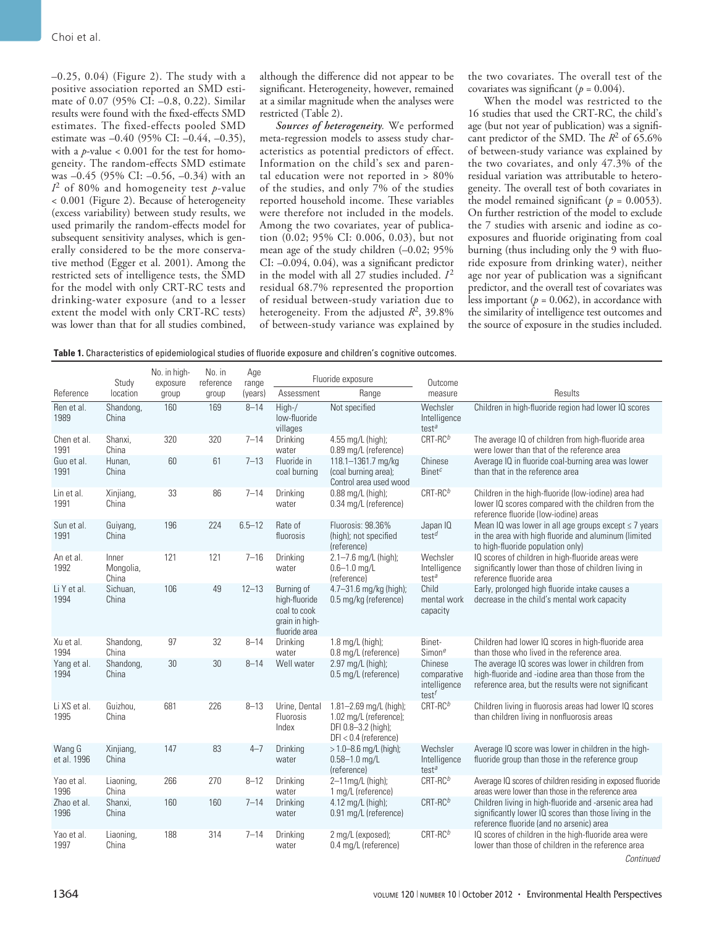–0.25, 0.04) (Figure 2). The study with a positive association reported an SMD estimate of 0.07 (95% CI: –0.8, 0.22). Similar results were found with the fixed-effects SMD estimates. The fixed-effects pooled SMD estimate was –0.40 (95% CI: –0.44, –0.35), with a *p*-value  $< 0.001$  for the test for homogeneity. The random-effects SMD estimate was –0.45 (95% CI: –0.56, –0.34) with an *I*2 of 80% and homogeneity test *p*-value < 0.001 (Figure 2). Because of heterogeneity (excess variability) between study results, we used primarily the random-effects model for subsequent sensitivity analyses, which is generally considered to be the more conservative method (Egger et al. 2001). Among the restricted sets of intelligence tests, the SMD for the model with only CRT-RC tests and drinking-water exposure (and to a lesser extent the model with only CRT-RC tests) was lower than that for all studies combined,

although the difference did not appear to be significant. Heterogeneity, however, remained at a similar magnitude when the analyses were restricted (Table 2).

*Sources of heterogeneity.* We performed meta-regression models to assess study characteristics as potential predictors of effect. Information on the child's sex and parental education were not reported in > 80% of the studies, and only 7% of the studies reported household income. These variables were therefore not included in the models. Among the two covariates, year of publication (0.02; 95% CI: 0.006, 0.03), but not mean age of the study children (–0.02; 95% CI: –0.094, 0.04), was a significant predictor in the model with all  $27$  studies included.  $I<sup>2</sup>$ residual 68.7% represented the proportion of residual between-study variation due to heterogeneity. From the adjusted *R*2, 39.8% of between-study variance was explained by the two covariates. The overall test of the covariates was significant  $(p = 0.004)$ .

When the model was restricted to the 16 studies that used the CRT-RC, the child's age (but not year of publication) was a significant predictor of the SMD. The *R*2 of 65.6% of between-study variance was explained by the two covariates, and only 47.3% of the residual variation was attributable to heterogeneity. The overall test of both covariates in the model remained significant  $(p = 0.0053)$ . On further restriction of the model to exclude the 7 studies with arsenic and iodine as coexposures and fluoride originating from coal burning (thus including only the 9 with fluoride exposure from drinking water), neither age nor year of publication was a significant predictor, and the overall test of covariates was less important  $(p = 0.062)$ , in accordance with the similarity of intelligence test outcomes and the source of exposure in the studies included.

|                       | Study                       | No. in high-<br>exposure | No. in<br>reference | Age<br>range | Fluoride exposure                                                              |                                                                                                        | Outcome                                            |                                                                                                                                                                |  |  |
|-----------------------|-----------------------------|--------------------------|---------------------|--------------|--------------------------------------------------------------------------------|--------------------------------------------------------------------------------------------------------|----------------------------------------------------|----------------------------------------------------------------------------------------------------------------------------------------------------------------|--|--|
| Reference             | location                    | group                    | group               | (years)      | Assessment                                                                     | Range                                                                                                  | measure                                            | Results                                                                                                                                                        |  |  |
| Ren et al.<br>1989    | Shandong,<br>China          | 160                      | 169                 | $8 - 14$     | High-/<br>low-fluoride<br>villages                                             | Not specified                                                                                          | Wechsler<br>Intelligence<br>test <sup>a</sup>      | Children in high-fluoride region had lower IQ scores                                                                                                           |  |  |
| Chen et al.<br>1991   | Shanxi,<br>China            | 320                      | 320                 | $7 - 14$     | Drinking<br>water                                                              | 4.55 mg/L (high);<br>0.89 mg/L (reference)                                                             | $CRT-RCb$                                          | The average IQ of children from high-fluoride area<br>were lower than that of the reference area                                                               |  |  |
| Guo et al.<br>1991    | Hunan,<br>China             | 60                       | 61                  | $7 - 13$     | Fluoride in<br>coal burning                                                    | 118.1-1361.7 mg/kg<br>(coal burning area);<br>Control area used wood                                   | Chinese<br>Binet <sup>c</sup>                      | Average IQ in fluoride coal-burning area was lower<br>than that in the reference area                                                                          |  |  |
| Lin et al.<br>1991    | Xinjiang,<br>China          | 33                       | 86                  | $7 - 14$     | Drinking<br>water                                                              | $0.88$ mg/L (high);<br>0.34 mg/L (reference)                                                           | $CRT-RCb$                                          | Children in the high-fluoride (low-iodine) area had<br>lower IQ scores compared with the children from the<br>reference fluoride (low-iodine) areas            |  |  |
| Sun et al.<br>1991    | Guiyang,<br>China           | 196                      | 224                 | $6.5 - 12$   | Rate of<br>fluorosis                                                           | Fluorosis: 98.36%<br>(high); not specified<br>(reference)                                              | Japan IQ<br>test <sup><math>d</math></sup>         | Mean IQ was lower in all age groups except $\leq$ 7 years<br>in the area with high fluoride and aluminum (limited<br>to high-fluoride population only)         |  |  |
| An et al.<br>1992     | Inner<br>Mongolia,<br>China | 121                      | 121                 | $7 - 16$     | Drinking<br>water                                                              | 2.1-7.6 mg/L (high);<br>$0.6 - 1.0$ mg/L<br>(reference)                                                | Wechsler<br>Intelligence<br>test <sup>a</sup>      | IQ scores of children in high-fluoride areas were<br>significantly lower than those of children living in<br>reference fluoride area                           |  |  |
| Li Y et al.<br>1994   | Sichuan,<br>China           | 106                      | 49                  | $12 - 13$    | Burning of<br>high-fluoride<br>coal to cook<br>grain in high-<br>fluoride area | 4.7-31.6 mg/kg (high);<br>0.5 mg/kg (reference)                                                        | Child<br>mental work<br>capacity                   | Early, prolonged high fluoride intake causes a<br>decrease in the child's mental work capacity                                                                 |  |  |
| Xu et al.<br>1994     | Shandong,<br>China          | 97                       | 32                  | $8 - 14$     | Drinking<br>water                                                              | 1.8 mg/L (high);<br>0.8 mg/L (reference)                                                               | Binet-<br>$Simon^e$                                | Children had lower IQ scores in high-fluoride area<br>than those who lived in the reference area.                                                              |  |  |
| Yang et al.<br>1994   | Shandong,<br>China          | 30                       | 30                  | $8 - 14$     | Well water                                                                     | 2.97 mg/L (high);<br>0.5 mg/L (reference)                                                              | Chinese<br>comparative<br>intelligence<br>$test^f$ | The average IQ scores was lower in children from<br>high-fluoride and -iodine area than those from the<br>reference area, but the results were not significant |  |  |
| Li XS et al.<br>1995  | Guizhou,<br>China           | 681                      | 226                 | $8 - 13$     | Urine, Dental<br>Fluorosis<br>Index                                            | $1.81 - 2.69$ mg/L (high);<br>1.02 mg/L (reference);<br>DFI 0.8-3.2 (high);<br>$DFI < 0.4$ (reference) | $CRT-RCb$                                          | Children living in fluorosis areas had lower IQ scores<br>than children living in nonfluorosis areas                                                           |  |  |
| Wang G<br>et al. 1996 | Xinjiang,<br>China          | 147                      | 83                  | $4 - 7$      | Drinking<br>water                                                              | $>1.0 - 8.6$ mg/L (high);<br>$0.58 - 1.0$ mg/L<br>(reference)                                          | Wechsler<br>Intelligence<br>test <sup>a</sup>      | Average IQ score was lower in children in the high-<br>fluoride group than those in the reference group                                                        |  |  |
| Yao et al.<br>1996    | Liaoning,<br>China          | 266                      | 270                 | $8 - 12$     | Drinking<br>water                                                              | 2-11mg/L (high);<br>1 mg/L (reference)                                                                 | $CRT-RCb$                                          | Average IQ scores of children residing in exposed fluoride<br>areas were lower than those in the reference area                                                |  |  |
| Zhao et al.<br>1996   | Shanxi,<br>China            | 160                      | 160                 | $7 - 14$     | Drinking<br>water                                                              | 4.12 mg/L (high);<br>0.91 mg/L (reference)                                                             | $CRT-RCb$                                          | Children living in high-fluoride and -arsenic area had<br>significantly lower IQ scores than those living in the<br>reference fluoride (and no arsenic) area   |  |  |
| Yao et al.<br>1997    | Liaoning,<br>China          | 188                      | 314                 | $7 - 14$     | Drinking<br>water                                                              | 2 mg/L (exposed);<br>0.4 mg/L (reference)                                                              | $CRT-RCb$                                          | IQ scores of children in the high-fluoride area were<br>lower than those of children in the reference area<br>Continued                                        |  |  |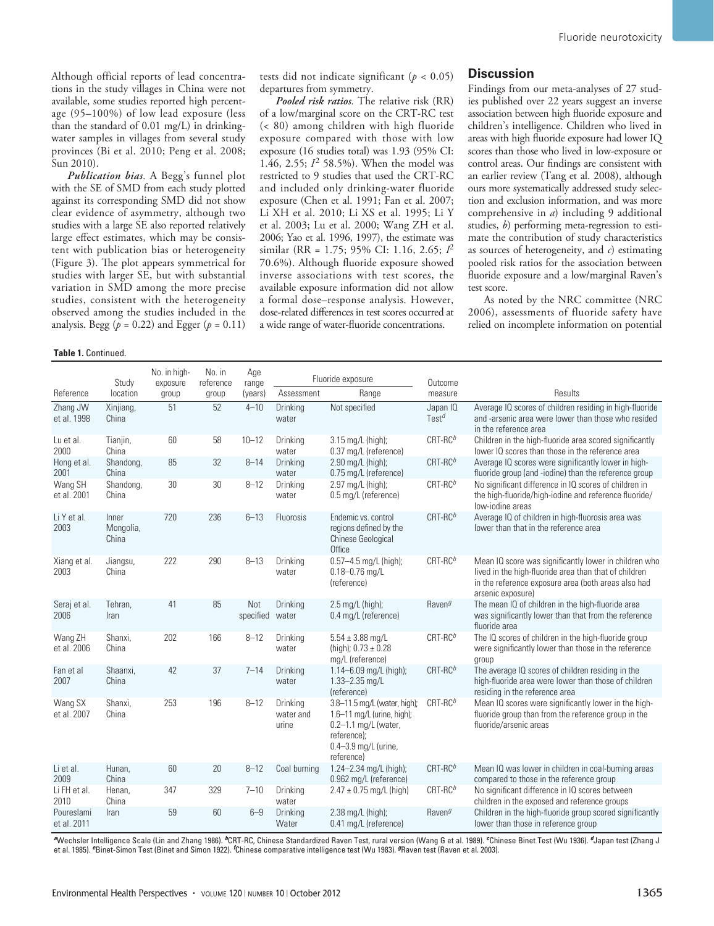Although official reports of lead concentrations in the study villages in China were not available, some studies reported high percentage (95–100%) of low lead exposure (less than the standard of 0.01 mg/L) in drinkingwater samples in villages from several study provinces (Bi et al. 2010; Peng et al. 2008; Sun 2010).

*Publication bias.* A Begg's funnel plot with the SE of SMD from each study plotted against its corresponding SMD did not show clear evidence of asymmetry, although two studies with a large SE also reported relatively large effect estimates, which may be consistent with publication bias or heterogeneity (Figure 3). The plot appears symmetrical for studies with larger SE, but with substantial variation in SMD among the more precise studies, consistent with the heterogeneity observed among the studies included in the analysis. Begg ( $p = 0.22$ ) and Egger ( $p = 0.11$ )

**Table 1.** Continued.

tests did not indicate significant ( $p < 0.05$ ) departures from symmetry.

*Pooled risk ratios.* The relative risk (RR) of a low/marginal score on the CRT-RC test (< 80) among children with high fluoride exposure compared with those with low exposure (16 studies total) was 1.93 (95% CI: 1.46, 2.55; *I*2 58.5%). When the model was restricted to 9 studies that used the CRT-RC and included only drinking-water fluoride exposure (Chen et al. 1991; Fan et al. 2007; Li XH et al. 2010; Li XS et al. 1995; Li Y et al. 2003; Lu et al. 2000; Wang ZH et al. 2006; Yao et al. 1996, 1997), the estimate was similar (RR = 1.75; 95% CI: 1.16, 2.65; *I*<sup>2</sup> 70.6%). Although fluoride exposure showed inverse associations with test scores, the available exposure information did not allow a formal dose–response analysis. However, dose-related differences in test scores occurred at a wide range of water-fluoride concentrations.

### **Discussion**

Findings from our meta-analyses of 27 studies published over 22 years suggest an inverse association between high fluoride exposure and children's intelligence. Children who lived in areas with high fluoride exposure had lower IQ scores than those who lived in low-exposure or control areas. Our findings are consistent with an earlier review (Tang et al. 2008), although ours more systematically addressed study selection and exclusion information, and was more comprehensive in *a*) including 9 additional studies, *b*) performing meta-regression to estimate the contribution of study characteristics as sources of heterogeneity, and *c*) estimating pooled risk ratios for the association between fluoride exposure and a low/marginal Raven's test score.

As noted by the NRC committee (NRC 2006), assessments of fluoride safety have relied on incomplete information on potential

|                           | Study                       | No. in high-<br>exposure | No. in<br>reference | Age<br>range     | Fluoride exposure              |                                                                                                                                         | Outcome                       |                                                                                                                                                                                            |  |  |
|---------------------------|-----------------------------|--------------------------|---------------------|------------------|--------------------------------|-----------------------------------------------------------------------------------------------------------------------------------------|-------------------------------|--------------------------------------------------------------------------------------------------------------------------------------------------------------------------------------------|--|--|
| Reference                 | location                    | group                    | group               | (years)          | Assessment                     | Range                                                                                                                                   | measure                       | Results                                                                                                                                                                                    |  |  |
| Zhang JW<br>et al. 1998   | Xinjiang,<br>China          | 51                       | 52                  | $4 - 10$         | Drinking<br>water              | Not specified                                                                                                                           | Japan IQ<br>Test <sup>d</sup> | Average IQ scores of children residing in high-fluoride<br>and -arsenic area were lower than those who resided<br>in the reference area                                                    |  |  |
| Lu et al.<br>2000         | Tianjin,<br>China           | 60                       | 58                  | $10 - 12$        | Drinking<br>water              | 3.15 mg/L (high);<br>0.37 mg/L (reference)                                                                                              | $CRT-RCb$                     | Children in the high-fluoride area scored significantly<br>lower IQ scores than those in the reference area                                                                                |  |  |
| Hong et al.<br>2001       | Shandong,<br>China          | 85                       | 32                  | $8 - 14$         | Drinking<br>water              | 2.90 mg/L (high);<br>0.75 mg/L (reference)                                                                                              | $CRT-RCb$                     | Average IQ scores were significantly lower in high-<br>fluoride group (and -iodine) than the reference group                                                                               |  |  |
| Wang SH<br>et al. 2001    | Shandong,<br>China          | 30                       | 30                  | $8 - 12$         | Drinking<br>water              | 2.97 mg/L (high);<br>0.5 mg/L (reference)                                                                                               | $CRT-RCb$                     | No significant difference in IQ scores of children in<br>the high-fluoride/high-iodine and reference fluoride/<br>low-iodine areas                                                         |  |  |
| Li Y et al.<br>2003       | Inner<br>Mongolia,<br>China | 720                      | 236                 | $6 - 13$         | Fluorosis                      | Endemic vs. control<br>regions defined by the<br><b>Chinese Geological</b><br>Office                                                    | $CRT-RCb$                     | Average IQ of children in high-fluorosis area was<br>lower than that in the reference area                                                                                                 |  |  |
| Xiang et al.<br>2003      | Jiangsu,<br>China           | 222                      | 290                 | $8 - 13$         | Drinking<br>water              | $0.57 - 4.5$ mg/L (high);<br>$0.18 - 0.76$ mg/L<br>(reference)                                                                          | $CRT-RCb$                     | Mean IQ score was significantly lower in children who<br>lived in the high-fluoride area than that of children<br>in the reference exposure area (both areas also had<br>arsenic exposure) |  |  |
| Seraj et al.<br>2006      | Tehran,<br>Iran             | 41                       | 85                  | Not<br>specified | Drinking<br>water              | $2.5$ mg/L (high);<br>0.4 mg/L (reference)                                                                                              | Raven <sup>g</sup>            | The mean IQ of children in the high-fluoride area<br>was significantly lower than that from the reference<br>fluoride area                                                                 |  |  |
| Wang ZH<br>et al. 2006    | Shanxi,<br>China            | 202                      | 166                 | $8 - 12$         | Drinking<br>water              | $5.54 \pm 3.88$ mg/L<br>(high); $0.73 \pm 0.28$<br>mg/L (reference)                                                                     | $CRT-RCb$                     | The IQ scores of children in the high-fluoride group<br>were significantly lower than those in the reference<br>group                                                                      |  |  |
| Fan et al<br>2007         | Shaanxi,<br>China           | 42                       | 37                  | $7 - 14$         | Drinking<br>water              | $1.14 - 6.09$ mg/L (high);<br>$1.33 - 2.35$ mg/L<br>(reference)                                                                         | $CRT-RCb$                     | The average IQ scores of children residing in the<br>high-fluoride area were lower than those of children<br>residing in the reference area                                                |  |  |
| Wang SX<br>et al. 2007    | Shanxi,<br>China            | 253                      | 196                 | $8 - 12$         | Drinking<br>water and<br>urine | 3.8-11.5 mg/L (water, high);<br>1.6-11 mg/L (urine, high);<br>0.2-1.1 mg/L (water,<br>reference);<br>0.4-3.9 mg/L (urine,<br>reference) | $CRT-RCb$                     | Mean IQ scores were significantly lower in the high-<br>fluoride group than from the reference group in the<br>fluoride/arsenic areas                                                      |  |  |
| Li et al.<br>2009         | Hunan,<br>China             | 60                       | 20                  | $8 - 12$         | Coal burning                   | 1.24-2.34 mg/L (high);<br>0.962 mg/L (reference)                                                                                        | $CRT-RCb$                     | Mean IQ was lower in children in coal-burning areas<br>compared to those in the reference group                                                                                            |  |  |
| Li FH et al.<br>2010      | Henan,<br>China             | 347                      | 329                 | $7 - 10$         | Drinking<br>water              | $2.47 \pm 0.75$ mg/L (high)                                                                                                             | $CRT-RCb$                     | No significant difference in IQ scores between<br>children in the exposed and reference groups                                                                                             |  |  |
| Poureslami<br>et al. 2011 | Iran                        | 59                       | 60                  | $6 - 9$          | Drinking<br>Water              | 2.38 mg/L (high);<br>0.41 mg/L (reference)                                                                                              | Raven <sup>g</sup>            | Children in the high-fluoride group scored significantly<br>lower than those in reference group                                                                                            |  |  |

*<sup>a</sup>*Wechsler Intelligence Scale (Lin and Zhang 1986). *b*CRT-RC, Chinese Standardized Raven Test, rural version (Wang G et al. 1989). *c*Chinese Binet Test (Wu 1936). *d*Japan test (Zhang J et al. 1985). *e*Binet-Simon Test (Binet and Simon 1922). *<sup>f</sup>* Chinese comparative intelligence test (Wu 1983). *g*Raven test (Raven et al. 2003).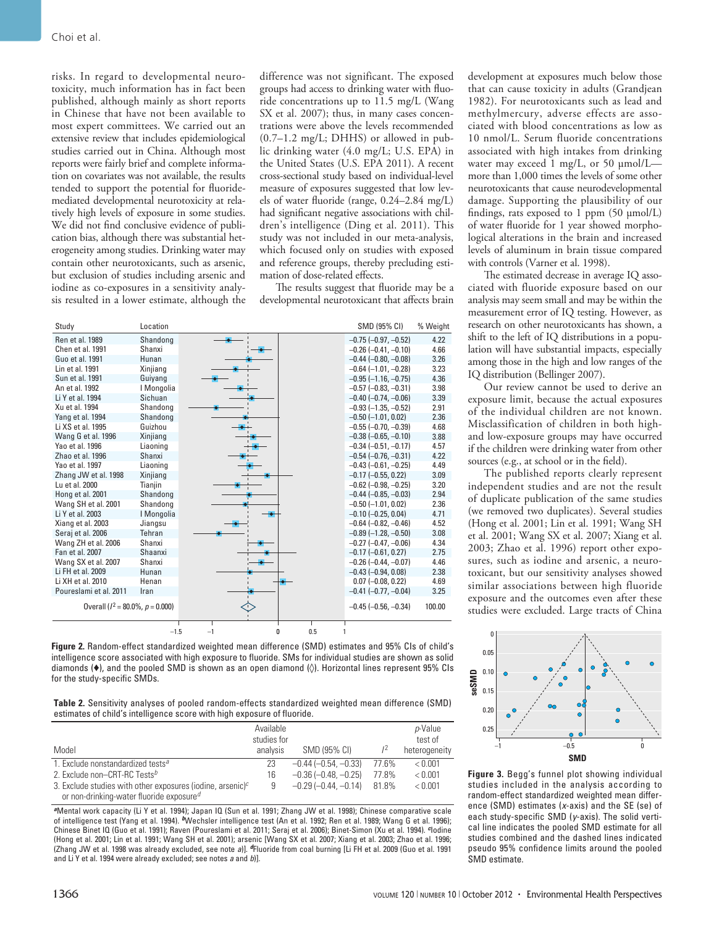risks. In regard to developmental neurotoxicity, much information has in fact been published, although mainly as short reports in Chinese that have not been available to most expert committees. We carried out an extensive review that includes epidemiological studies carried out in China. Although most reports were fairly brief and complete information on covariates was not available, the results tended to support the potential for fluoridemediated developmental neurotoxicity at relatively high levels of exposure in some studies. We did not find conclusive evidence of publication bias, although there was substantial heterogeneity among studies. Drinking water may contain other neurotoxicants, such as arsenic, but exclusion of studies including arsenic and iodine as co-exposures in a sensitivity analysis resulted in a lower estimate, although the difference was not significant. The exposed groups had access to drinking water with fluoride concentrations up to 11.5 mg/L (Wang SX et al. 2007); thus, in many cases concentrations were above the levels recommended  $(0.7–1.2 \text{ mg/L}; \text{DHHS})$  or allowed in public drinking water (4.0 mg/L; U.S. EPA) in the United States (U.S. EPA 2011). A recent cross-sectional study based on individual-level measure of exposures suggested that low levels of water fluoride (range, 0.24–2.84 mg/L) had significant negative associations with children's intelligence (Ding et al. 2011). This study was not included in our meta-analysis, which focused only on studies with exposed and reference groups, thereby precluding estimation of dose-related effects.

The results suggest that fluoride may be a developmental neurotoxicant that affects brain

| Study                                 | Location   |                               | SMD (95% CI)                  | % Weight |
|---------------------------------------|------------|-------------------------------|-------------------------------|----------|
| Ren et al. 1989                       | Shandong   |                               | $-0.75$ ( $-0.97$ , $-0.52$ ) | 4.22     |
| Chen et al. 1991                      | Shanxi     |                               | $-0.26$ ( $-0.41$ , $-0.10$ ) | 4.66     |
| Guo et al. 1991                       | Hunan      |                               | $-0.44$ $(-0.80, -0.08)$      | 3.26     |
| Lin et al. 1991                       | Xinjiang   |                               | $-0.64$ ( $-1.01$ , $-0.28$ ) | 3.23     |
| Sun et al. 1991                       | Guiyang    |                               | $-0.95$ ( $-1.16$ , $-0.75$ ) | 4.36     |
| An et al. 1992                        | I Mongolia |                               | $-0.57$ $(-0.83, -0.31)$      | 3.98     |
| Li Y et al. 1994                      | Sichuan    |                               | $-0.40$ $(-0.74, -0.06)$      | 3.39     |
| Xu et al. 1994                        | Shandong   |                               | $-0.93$ ( $-1.35$ , $-0.52$ ) | 2.91     |
| Yang et al. 1994                      | Shandong   |                               | $-0.50$ ( $-1.01$ , 0.02)     | 2.36     |
| Li XS et al. 1995                     | Guizhou    |                               | $-0.55$ ( $-0.70$ , $-0.39$ ) | 4.68     |
| Wang G et al. 1996                    | Xinjiang   |                               | $-0.38$ $(-0.65, -0.10)$      | 3.88     |
| Yao et al. 1996                       | Liaoning   |                               | $-0.34$ $(-0.51, -0.17)$      | 4.57     |
| Zhao et al. 1996                      | Shanxi     |                               | $-0.54$ $(-0.76, -0.31)$      | 4.22     |
| Yao et al. 1997                       | Liaoning   |                               | $-0.43$ ( $-0.61$ , $-0.25$ ) | 4.49     |
| Zhang JW et al. 1998                  | Xinjiang   |                               | $-0.17$ $(-0.55, 0.22)$       | 3.09     |
| Lu et al. 2000                        | Tianjin    |                               | $-0.62$ ( $-0.98$ , $-0.25$ ) | 3.20     |
| Hong et al. 2001                      | Shandong   |                               | $-0.44$ $(-0.85, -0.03)$      | 2.94     |
| Wang SH et al. 2001                   | Shandong   |                               | $-0.50$ ( $-1.01$ , 0.02)     | 2.36     |
| Li Y et al. 2003                      | I Mongolia |                               | $-0.10$ $(-0.25, 0.04)$       | 4.71     |
| Xiang et al. 2003                     | Jiangsu    |                               | $-0.64$ ( $-0.82, -0.46$ )    | 4.52     |
| Seraj et al. 2006                     | Tehran     |                               | $-0.89$ ( $-1.28$ , $-0.50$ ) | 3.08     |
| Wang ZH et al. 2006                   | Shanxi     |                               | $-0.27$ $(-0.47, -0.06)$      | 4.34     |
| Fan et al. 2007                       | Shaanxi    |                               | $-0.17$ $(-0.61, 0.27)$       | 2.75     |
| Wang SX et al. 2007                   | Shanxi     |                               | $-0.26$ ( $-0.44$ , $-0.07$ ) | 4.46     |
| Li FH et al. 2009                     | Hunan      |                               | $-0.43$ $(-0.94, 0.08)$       | 2.38     |
| Li XH et al. 2010                     | Henan      |                               | $0.07 (-0.08, 0.22)$          | 4.69     |
| Poureslami et al. 2011                | Iran       |                               | $-0.41$ $(-0.77, -0.04)$      | 3.25     |
| Overall ( $l^2$ = 80.0%, $p$ = 0.000) |            | $-0.45$ ( $-0.56$ , $-0.34$ ) | 100.00                        |          |
|                                       | $-1.5$     | 0.5<br>$-1$<br>0<br>1         |                               |          |

**Figure 2.** Random-effect standardized weighted mean difference (SMD) estimates and 95% CIs of child's intelligence score associated with high exposure to fluoride. SMs for individual studies are shown as solid diamonds (♦), and the pooled SMD is shown as an open diamond (◊). Horizontal lines represent 95% CIs for the study-specific SMDs.

**Table 2.** Sensitivity analyses of pooled random-effects standardized weighted mean difference (SMD) estimates of child's intelligence score with high exposure of fluoride.

|                                                                                                                       | Available<br>studies for |                          |       | p-Value<br>test of |  |
|-----------------------------------------------------------------------------------------------------------------------|--------------------------|--------------------------|-------|--------------------|--|
| Model                                                                                                                 | analysis                 | SMD (95% CI)             | $1^2$ | heterogeneity      |  |
| 1. Exclude nonstandardized tests <sup>a</sup>                                                                         | 23                       | $-0.44$ $(-0.54, -0.33)$ | 77.6% | < 0.001            |  |
| 2. Exclude non-CRT-RC Tests <sup>b</sup>                                                                              | 16                       | $-0.36$ $(-0.48, -0.25)$ | 77.8% | < 0.001            |  |
| 3. Exclude studies with other exposures (iodine, arsenic) $c$<br>or non-drinking-water fluoride exposure <sup>d</sup> |                          | $-0.29$ $(-0.44, -0.14)$ | 81.8% | < 0.001            |  |

*<sup>a</sup>*Mental work capacity (Li Y et al. 1994); Japan IQ (Sun et al. 1991; Zhang JW et al. 1998); Chinese comparative scale of intelligence test (Yang et al. 1994). *b*Wechsler intelligence test (An et al. 1992; Ren et al. 1989; Wang G et al. 1996); Chinese Binet IQ (Guo et al. 1991); Raven (Poureslami et al. 2011; Seraj et al. 2006); Binet-Simon (Xu et al. 1994). *c*Iodine (Hong et al. 2001; Lin et al. 1991; Wang SH et al. 2001); arsenic [Wang SX et al. 2007; Xiang et al. 2003; Zhao et al. 1996; (Zhang JW et al. 1998 was already excluded, see note *a*)]. *d*Fluoride from coal burning [Li FH et al. 2009 (Guo et al. 1991 and Li Y et al. 1994 were already excluded; see notes *a* and *b*)].

development at exposures much below those that can cause toxicity in adults (Grandjean 1982). For neurotoxicants such as lead and methylmercury, adverse effects are associated with blood concentrations as low as 10 nmol/L. Serum fluoride concentrations associated with high intakes from drinking water may exceed 1 mg/L, or 50  $\mu$ mol/L more than 1,000 times the levels of some other neurotoxicants that cause neurodevelopmental damage. Supporting the plausibility of our findings, rats exposed to 1 ppm (50 µmol/L) of water fluoride for 1 year showed morphological alterations in the brain and increased levels of aluminum in brain tissue compared with controls (Varner et al. 1998).

The estimated decrease in average IQ associated with fluoride exposure based on our analysis may seem small and may be within the measurement error of IQ testing. However, as research on other neurotoxicants has shown, a shift to the left of IQ distributions in a population will have substantial impacts, especially among those in the high and low ranges of the IQ distribution (Bellinger 2007).

Our review cannot be used to derive an exposure limit, because the actual exposures of the individual children are not known. Misclassification of children in both highand low-exposure groups may have occurred if the children were drinking water from other sources (e.g., at school or in the field).

The published reports clearly represent independent studies and are not the result of duplicate publication of the same studies (we removed two duplicates). Several studies (Hong et al. 2001; Lin et al. 1991; Wang SH et al. 2001; Wang SX et al. 2007; Xiang et al. 2003; Zhao et al. 1996) report other exposures, such as iodine and arsenic, a neurotoxicant, but our sensitivity analyses showed similar associations between high fluoride exposure and the outcomes even after these studies were excluded. Large tracts of China



**Figure 3.** Begg's funnel plot showing individual studies included in the analysis according to random-effect standardized weighted mean difference (SMD) estimates (*x*-axis) and the SE (se) of each study-specific SMD (*y*-axis). The solid vertical line indicates the pooled SMD estimate for all studies combined and the dashed lines indicated pseudo 95% confidence limits around the pooled SMD estimate.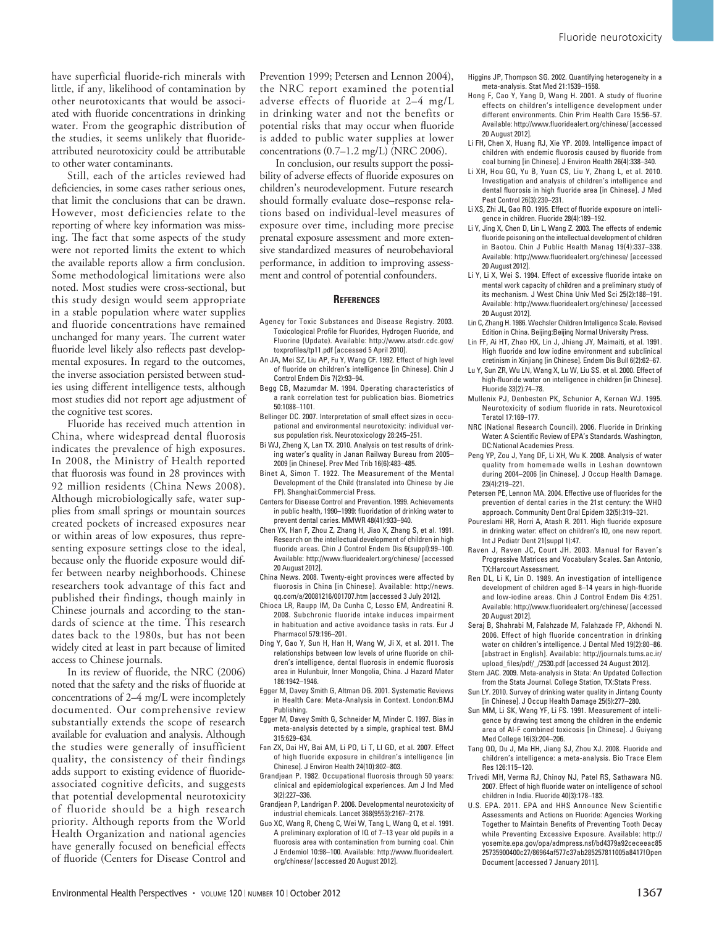have superficial fluoride-rich minerals with little, if any, likelihood of contamination by other neurotoxicants that would be associated with fluoride concentrations in drinking water. From the geographic distribution of the studies, it seems unlikely that fluorideattributed neurotoxicity could be attributable to other water contaminants.

Still, each of the articles reviewed had deficiencies, in some cases rather serious ones, that limit the conclusions that can be drawn. However, most deficiencies relate to the reporting of where key information was missing. The fact that some aspects of the study were not reported limits the extent to which the available reports allow a firm conclusion. Some methodological limitations were also noted. Most studies were cross-sectional, but this study design would seem appropriate in a stable population where water supplies and fluoride concentrations have remained unchanged for many years. The current water fluoride level likely also reflects past developmental exposures. In regard to the outcomes, the inverse association persisted between studies using different intelligence tests, although most studies did not report age adjustment of the cognitive test scores.

Fluoride has received much attention in China, where widespread dental fluorosis indicates the prevalence of high exposures. In 2008, the Ministry of Health reported that fluorosis was found in 28 provinces with 92 million residents (China News 2008). Although microbiologically safe, water supplies from small springs or mountain sources created pockets of increased exposures near or within areas of low exposures, thus representing exposure settings close to the ideal, because only the fluoride exposure would differ between nearby neighborhoods. Chinese researchers took advantage of this fact and published their findings, though mainly in Chinese journals and according to the standards of science at the time. This research dates back to the 1980s, but has not been widely cited at least in part because of limited access to Chinese journals.

In its review of fluoride, the NRC (2006) noted that the safety and the risks of fluoride at concentrations of 2–4 mg/L were incompletely documented. Our comprehensive review substantially extends the scope of research available for evaluation and analysis. Although the studies were generally of insufficient quality, the consistency of their findings adds support to existing evidence of fluorideassociated cognitive deficits, and suggests that potential developmental neurotoxicity of fluoride should be a high research priority. Although reports from the World Health Organization and national agencies have generally focused on beneficial effects of fluoride (Centers for Disease Control and

Prevention 1999; Petersen and Lennon 2004), the NRC report examined the potential adverse effects of fluoride at 2–4 mg/L in drinking water and not the benefits or potential risks that may occur when fluoride is added to public water supplies at lower concentrations (0.7–1.2 mg/L) (NRC 2006).

In conclusion, our results support the possibility of adverse effects of fluoride exposures on children's neurodevelopment. Future research should formally evaluate dose–response relations based on individual-level measures of exposure over time, including more precise prenatal exposure assessment and more extensive standardized measures of neurobehavioral performance, in addition to improving assessment and control of potential confounders.

#### **References**

- Agency for Toxic Substances and Disease Registry. 2003. Toxicological Profile for Fluorides, Hydrogen Fluoride, and Fluorine (Update). Available: http://www.atsdr.cdc.gov/ toxprofiles/tp11.pdf [accessed 5 April 2010].
- An JA, Mei SZ, Liu AP, Fu Y, Wang CF. 1992. Effect of high level of fluoride on children's intelligence [in Chinese]. Chin J Control Endem Dis 7(2):93–94.
- Begg CB, Mazumdar M. 1994. Operating characteristics of a rank correlation test for publication bias. Biometrics 50:1088–1101.
- Bellinger DC. 2007. Interpretation of small effect sizes in occupational and environmental neurotoxicity: individual versus population risk. Neurotoxicology 28:245–251.
- Bi WJ, Zheng X, Lan TX. 2010. Analysis on test results of drinking water's quality in Janan Railway Bureau from 2005– 2009 [in Chinese]. Prev Med Trib 16(6):483–485.
- Binet A, Simon T. 1922. The Measurement of the Mental Development of the Child (translated into Chinese by Jie FP). Shanghai:Commercial Press.
- Centers for Disease Control and Prevention. 1999. Achievements in public health, 1990–1999: fluoridation of drinking water to prevent dental caries. MMWR 48(41):933–940.
- Chen YX, Han F, Zhou Z, Zhang H, Jiao X, Zhang S, et al. 1991. Research on the intellectual development of children in high fluoride areas. Chin J Control Endem Dis 6(suppl):99–100. Available: http://www.fluoridealert.org/chinese/ [accessed 20 August 2012].
- China News. 2008. Twenty-eight provinces were affected by fluorosis in China [in Chinese]. Available: http://news. qq.com/a/20081216/001707.htm [accessed 3 July 2012].
- Chioca LR, Raupp IM, Da Cunha C, Losso EM, Andreatini R. 2008. Subchronic fluoride intake induces impairment in habituation and active avoidance tasks in rats. Eur J Pharmacol 579:196–201.
- Ding Y, Gao Y, Sun H, Han H, Wang W, Ji X, et al. 2011. The relationships between low levels of urine fluoride on children's intelligence, dental fluorosis in endemic fluorosis area in Hulunbuir, Inner Mongolia, China. J Hazard Mater 186:1942–1946.
- Egger M, Davey Smith G, Altman DG. 2001. Systematic Reviews in Health Care: Meta-Analysis in Context. London:BMJ Publishing.
- Egger M, Davey Smith G, Schneider M, Minder C. 1997. Bias in meta-analysis detected by a simple, graphical test. BMJ 315:629–634.
- Fan ZX, Dai HY, Bai AM, Li PO, Li T, LI GD, et al. 2007. Effect of high fluoride exposure in children's intelligence [in Chinese]. J Environ Health 24(10):802–803.
- Grandjean P. 1982. Occupational fluorosis through 50 years: clinical and epidemiological experiences. Am J Ind Med 3(2):227–336.
- Grandjean P, Landrigan P. 2006. Developmental neurotoxicity of industrial chemicals. Lancet 368(9553):2167–2178.
- Guo XC, Wang R, Cheng C, Wei W, Tang L, Wang Q, et al. 1991. A preliminary exploration of IQ of 7–13 year old pupils in a fluorosis area with contamination from burning coal. Chin J Endemiol 10:98–100. Available: http://www.fluoridealert. org/chinese/ [accessed 20 August 2012].

Higgins JP, Thompson SG. 2002. Quantifying heterogeneity in a meta-analysis. Stat Med 21:1539–1558.

- Hong F, Cao Y, Yang D, Wang H. 2001. A study of fluorine effects on children's intelligence development under different environments. Chin Prim Health Care 15:56–57. Available: http://www.fluoridealert.org/chinese/ [accessed 20 August 2012].
- Li FH, Chen X, Huang RJ, Xie YP. 2009. Intelligence impact of children with endemic fluorosis caused by fluoride from coal burning [in Chinese]. J Environ Health 26(4):338–340.
- Li XH, Hou GQ, Yu B, Yuan CS, Liu Y, Zhang L, et al. 2010. Investigation and analysis of children's intelligence and dental fluorosis in high fluoride area [in Chinese]. J Med Pest Control 26(3):230–231.
- Li XS, Zhi JL, Gao RO. 1995. Effect of fluoride exposure on intelligence in children. Fluoride 28(4):189–192.
- Li Y, Jing X, Chen D, Lin L, Wang Z. 2003. The effects of endemic fluoride poisoning on the intellectual development of children in Baotou. Chin J Public Health Manag 19(4):337–338. Available: http://www.fluoridealert.org/chinese/ [accessed 20 August 2012].
- Li Y, Li X, Wei S. 1994. Effect of excessive fluoride intake on mental work capacity of children and a preliminary study of its mechanism. J West China Univ Med Sci 25(2):188–191. Available: http://www.fluoridealert.org/chinese/ [accessed 20 August 2012].
- Lin C, Zhang H. 1986. Wechsler Children Intelligence Scale. Revised Edition in China. Beijing:Beijing Normal University Press.
- Lin FF, Ai HT, Zhao HX, Lin J, Jhiang JY, Maimaiti, et al. 1991. High fluoride and low iodine environment and subclinical cretinism in Xinjiang [in Chinese]. Endem Dis Bull 6(2):62–67.
- Lu Y, Sun ZR, Wu LN, Wang X, Lu W, Liu SS. et al. 2000. Effect of high-fluoride water on intelligence in children [in Chinese]. Fluoride 33(2):74–78.
- Mullenix PJ, Denbesten PK, Schunior A, Kernan WJ. 1995. Neurotoxicity of sodium fluoride in rats. Neurotoxicol Teratol 17:169–177.
- NRC (National Research Council). 2006. Fluoride in Drinking Water: A Scientific Review of EPA's Standards. Washington, DC:National Academies Press.
- Peng YP, Zou J, Yang DF, Li XH, Wu K. 2008. Analysis of water quality from homemade wells in Leshan downtown during 2004–2006 [in Chinese]. J Occup Health Damage. 23(4):219–221.
- Petersen PE, Lennon MA. 2004. Effective use of fluorides for the prevention of dental caries in the 21st century: the WHO approach. Community Dent Oral Epidem 32(5):319–321.
- Poureslami HR, Horri A, Atash R. 2011. High fluoride exposure in drinking water: effect on children's IQ, one new report. Int J Pediatr Dent 21(suppl 1):47.
- Raven J, Raven JC, Court JH. 2003. Manual for Raven's Progressive Matrices and Vocabulary Scales. San Antonio, TX:Harcourt Assessment.
- Ren DL, Li K, Lin D. 1989. An investigation of intelligence development of children aged 8–14 years in high-fluoride and low-iodine areas. Chin J Control Endem Dis 4:251. Available: http://www.fluoridealert.org/chinese/ [accessed 20 August 2012].
- Seraj B, Shahrabi M, Falahzade M, Falahzade FP, Akhondi N. 2006. Effect of high fluoride concentration in drinking water on children's intelligence. J Dental Med 19(2):80–86. [abstract in English]. Available: http://journals.tums.ac.ir/ upload\_files/pdf/\_/2530.pdf [accessed 24 August 2012].
- Stern JAC. 2009. Meta-analysis in Stata: An Updated Collection from the Stata Journal. College Station, TX:Stata Press.
- Sun LY. 2010. Survey of drinking water quality in Jintang County [in Chinese]. J Occup Health Damage 25(5):277–280.
- Sun MM, Li SK, Wang YF, Li FS. 1991. Measurement of intelligence by drawing test among the children in the endemic area of Al-F combined toxicosis [in Chinese]. J Guiyang Med College 16(3):204–206.
- Tang QQ, Du J, Ma HH, Jiang SJ, Zhou XJ. 2008. Fluoride and children's intelligence: a meta-analysis. Bio Trace Elem Res 126:115–120.
- Trivedi MH, Verma RJ, Chinoy NJ, Patel RS, Sathawara NG. 2007. Effect of high fluoride water on intelligence of school children in India. Fluoride 40(3):178–183.
- U.S. EPA. 2011. EPA and HHS Announce New Scientific Assessments and Actions on Fluoride: Agencies Working Together to Maintain Benefits of Preventing Tooth Decay while Preventing Excessive Exposure. Available: http:// yosemite.epa.gov/opa/admpress.nsf/bd4379a92ceceeac85 25735900400c27/86964af577c37ab285257811005a8417!Open Document [accessed 7 January 2011].